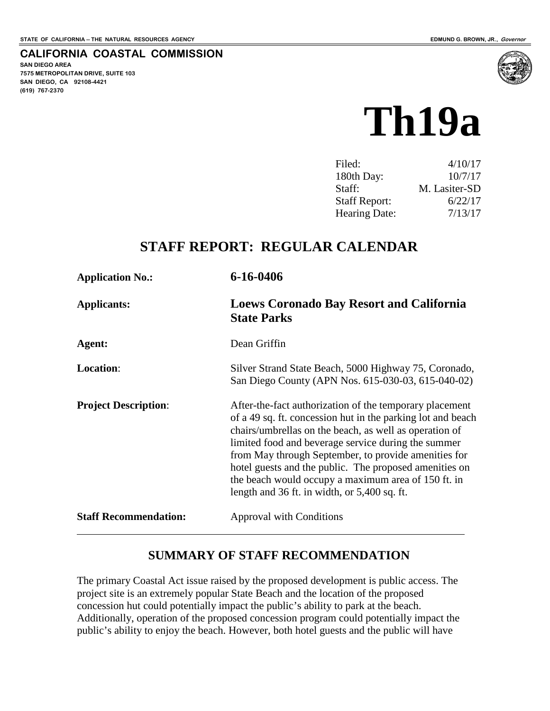#### **CALIFORNIA COASTAL COMMISSION**

**SAN DIEGO AREA 7575 METROPOLITAN DRIVE, SUITE 103 SAN DIEGO, CA 92108-4421 (619) 767-2370**



| Filed:               | 4/10/17       |
|----------------------|---------------|
| 180th Day:           | 10/7/17       |
| Staff:               | M. Lasiter-SD |
| <b>Staff Report:</b> | 6/22/17       |
| <b>Hearing Date:</b> | 7/13/17       |

## **STAFF REPORT: REGULAR CALENDAR**

| 6-16-0406                                                                                                                                                                                                                                                                                                                                                                                                                                                          |
|--------------------------------------------------------------------------------------------------------------------------------------------------------------------------------------------------------------------------------------------------------------------------------------------------------------------------------------------------------------------------------------------------------------------------------------------------------------------|
| <b>Loews Coronado Bay Resort and California</b><br><b>State Parks</b>                                                                                                                                                                                                                                                                                                                                                                                              |
| Dean Griffin                                                                                                                                                                                                                                                                                                                                                                                                                                                       |
| Silver Strand State Beach, 5000 Highway 75, Coronado,<br>San Diego County (APN Nos. 615-030-03, 615-040-02)                                                                                                                                                                                                                                                                                                                                                        |
| After-the-fact authorization of the temporary placement<br>of a 49 sq. ft. concession hut in the parking lot and beach<br>chairs/umbrellas on the beach, as well as operation of<br>limited food and beverage service during the summer<br>from May through September, to provide amenities for<br>hotel guests and the public. The proposed amenities on<br>the beach would occupy a maximum area of 150 ft. in<br>length and 36 ft. in width, or $5,400$ sq. ft. |
| <b>Approval with Conditions</b>                                                                                                                                                                                                                                                                                                                                                                                                                                    |
|                                                                                                                                                                                                                                                                                                                                                                                                                                                                    |

### **SUMMARY OF STAFF RECOMMENDATION**

The primary Coastal Act issue raised by the proposed development is public access. The project site is an extremely popular State Beach and the location of the proposed concession hut could potentially impact the public's ability to park at the beach. Additionally, operation of the proposed concession program could potentially impact the public's ability to enjoy the beach. However, both hotel guests and the public will have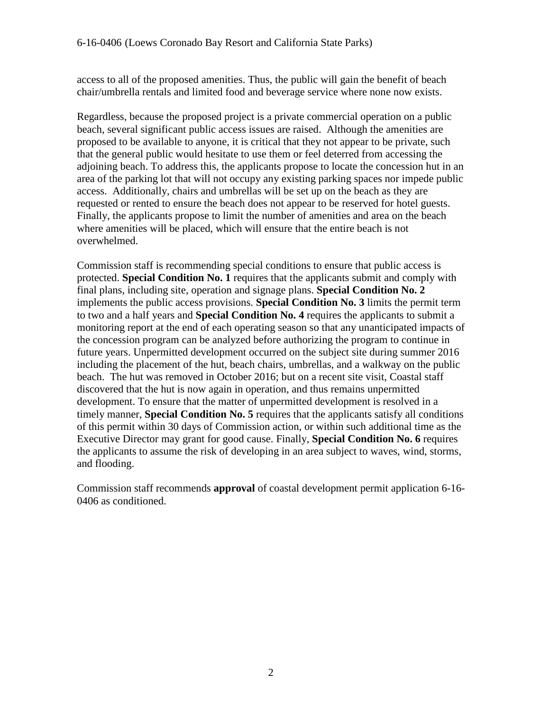access to all of the proposed amenities. Thus, the public will gain the benefit of beach chair/umbrella rentals and limited food and beverage service where none now exists.

Regardless, because the proposed project is a private commercial operation on a public beach, several significant public access issues are raised. Although the amenities are proposed to be available to anyone, it is critical that they not appear to be private, such that the general public would hesitate to use them or feel deterred from accessing the adjoining beach. To address this, the applicants propose to locate the concession hut in an area of the parking lot that will not occupy any existing parking spaces nor impede public access. Additionally, chairs and umbrellas will be set up on the beach as they are requested or rented to ensure the beach does not appear to be reserved for hotel guests. Finally, the applicants propose to limit the number of amenities and area on the beach where amenities will be placed, which will ensure that the entire beach is not overwhelmed.

Commission staff is recommending special conditions to ensure that public access is protected. **Special Condition No. 1** requires that the applicants submit and comply with final plans, including site, operation and signage plans. **Special Condition No. 2** implements the public access provisions. **Special Condition No. 3** limits the permit term to two and a half years and **Special Condition No. 4** requires the applicants to submit a monitoring report at the end of each operating season so that any unanticipated impacts of the concession program can be analyzed before authorizing the program to continue in future years. Unpermitted development occurred on the subject site during summer 2016 including the placement of the hut, beach chairs, umbrellas, and a walkway on the public beach. The hut was removed in October 2016; but on a recent site visit, Coastal staff discovered that the hut is now again in operation, and thus remains unpermitted development. To ensure that the matter of unpermitted development is resolved in a timely manner, **Special Condition No. 5** requires that the applicants satisfy all conditions of this permit within 30 days of Commission action, or within such additional time as the Executive Director may grant for good cause. Finally, **Special Condition No. 6** requires the applicants to assume the risk of developing in an area subject to waves, wind, storms, and flooding.

Commission staff recommends **approval** of coastal development permit application 6-16- 0406 as conditioned.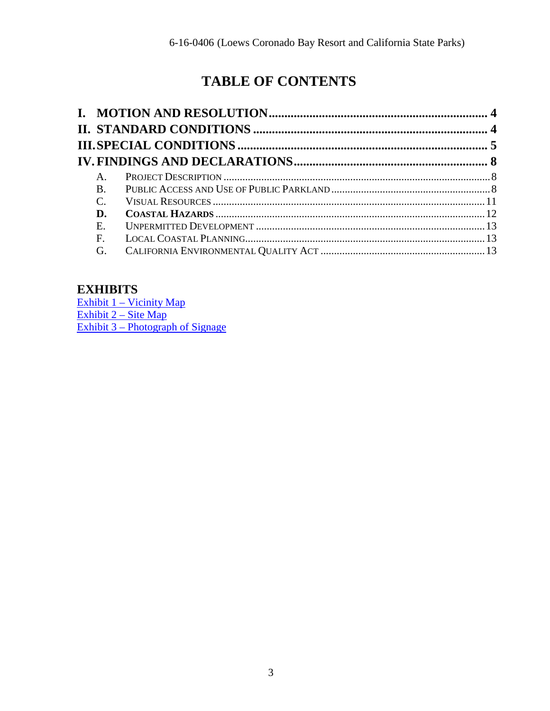# **TABLE OF CONTENTS**

| $\mathsf{A}_{\cdot}$ |  |
|----------------------|--|
| $\bf{B}$             |  |
| $\mathcal{C}$ .      |  |
| D.                   |  |
| Ε.                   |  |
| F.                   |  |
| G.                   |  |
|                      |  |

## **EXHIBITS**

[Exhibit 1 – Vicinity Map](https://documents.coastal.ca.gov/reports/2017/7/Th19a/Th19a-7-2017-exhibits.pdf) [Exhibit 2 – Site Map](https://documents.coastal.ca.gov/reports/2017/7/Th19a/Th19a-7-2017-exhibits.pdf) Exhibit 3 – Photograph of Signage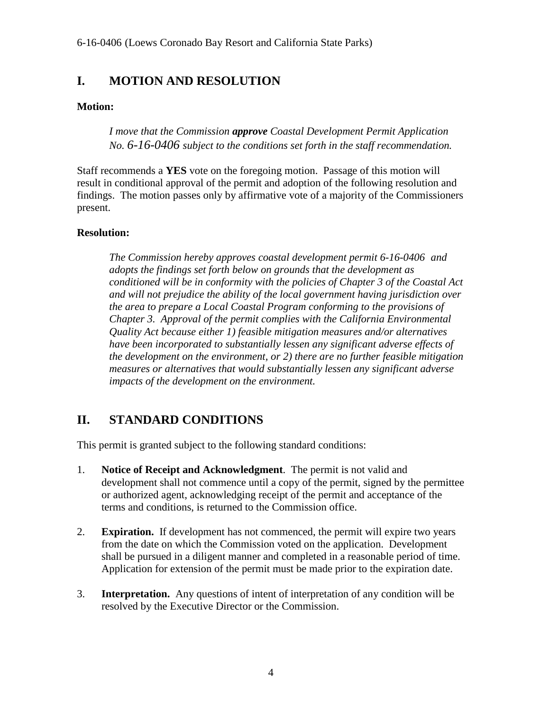6-16-0406 (Loews Coronado Bay Resort and California State Parks)

## <span id="page-3-0"></span>**I. MOTION AND RESOLUTION**

#### **Motion:**

*I move that the Commission approve Coastal Development Permit Application No. 6-16-0406 subject to the conditions set forth in the staff recommendation.* 

Staff recommends a **YES** vote on the foregoing motion. Passage of this motion will result in conditional approval of the permit and adoption of the following resolution and findings. The motion passes only by affirmative vote of a majority of the Commissioners present.

#### **Resolution:**

*The Commission hereby approves coastal development permit 6-16-0406 and adopts the findings set forth below on grounds that the development as conditioned will be in conformity with the policies of Chapter 3 of the Coastal Act and will not prejudice the ability of the local government having jurisdiction over the area to prepare a Local Coastal Program conforming to the provisions of Chapter 3. Approval of the permit complies with the California Environmental Quality Act because either 1) feasible mitigation measures and/or alternatives have been incorporated to substantially lessen any significant adverse effects of the development on the environment, or 2) there are no further feasible mitigation measures or alternatives that would substantially lessen any significant adverse impacts of the development on the environment.* 

## <span id="page-3-1"></span>**II. STANDARD CONDITIONS**

This permit is granted subject to the following standard conditions:

- 1. **Notice of Receipt and Acknowledgment**. The permit is not valid and development shall not commence until a copy of the permit, signed by the permittee or authorized agent, acknowledging receipt of the permit and acceptance of the terms and conditions, is returned to the Commission office.
- 2. **Expiration.** If development has not commenced, the permit will expire two years from the date on which the Commission voted on the application. Development shall be pursued in a diligent manner and completed in a reasonable period of time. Application for extension of the permit must be made prior to the expiration date.
- 3. **Interpretation.** Any questions of intent of interpretation of any condition will be resolved by the Executive Director or the Commission.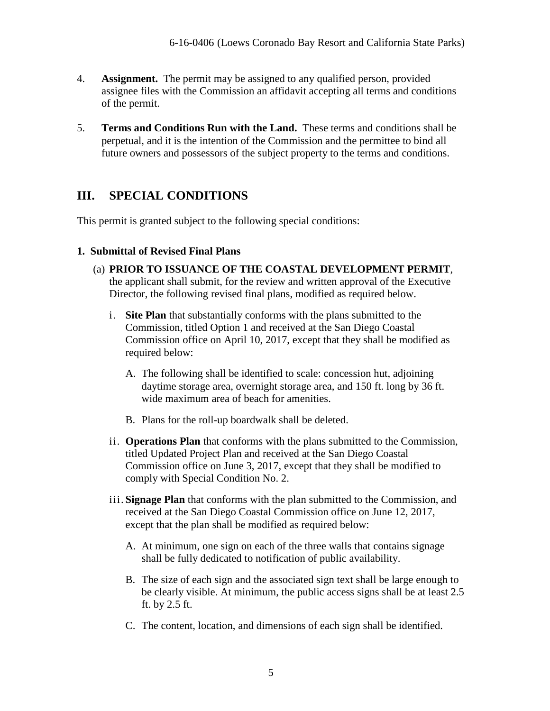- 4. **Assignment.** The permit may be assigned to any qualified person, provided assignee files with the Commission an affidavit accepting all terms and conditions of the permit.
- 5. **Terms and Conditions Run with the Land.** These terms and conditions shall be perpetual, and it is the intention of the Commission and the permittee to bind all future owners and possessors of the subject property to the terms and conditions.

## <span id="page-4-0"></span>**III. SPECIAL CONDITIONS**

This permit is granted subject to the following special conditions:

#### **1. Submittal of Revised Final Plans**

- (a) **PRIOR TO ISSUANCE OF THE COASTAL DEVELOPMENT PERMIT**, the applicant shall submit, for the review and written approval of the Executive Director, the following revised final plans, modified as required below.
	- i. **Site Plan** that substantially conforms with the plans submitted to the Commission, titled Option 1 and received at the San Diego Coastal Commission office on April 10, 2017, except that they shall be modified as required below:
		- A. The following shall be identified to scale: concession hut, adjoining daytime storage area, overnight storage area, and 150 ft. long by 36 ft. wide maximum area of beach for amenities.
		- B. Plans for the roll-up boardwalk shall be deleted.
	- ii. **Operations Plan** that conforms with the plans submitted to the Commission, titled Updated Project Plan and received at the San Diego Coastal Commission office on June 3, 2017, except that they shall be modified to comply with Special Condition No. 2.
	- iii. **Signage Plan** that conforms with the plan submitted to the Commission, and received at the San Diego Coastal Commission office on June 12, 2017, except that the plan shall be modified as required below:
		- A. At minimum, one sign on each of the three walls that contains signage shall be fully dedicated to notification of public availability.
		- B. The size of each sign and the associated sign text shall be large enough to be clearly visible. At minimum, the public access signs shall be at least 2.5 ft. by 2.5 ft.
		- C. The content, location, and dimensions of each sign shall be identified.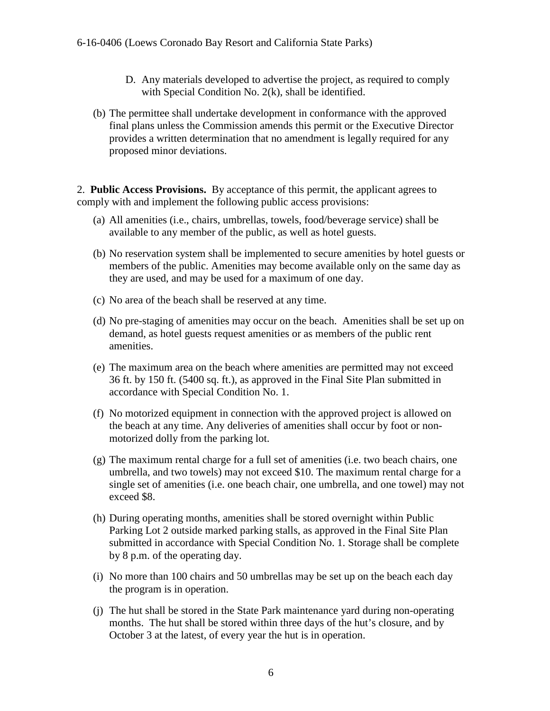- D. Any materials developed to advertise the project, as required to comply with Special Condition No. 2(k), shall be identified.
- (b) The permittee shall undertake development in conformance with the approved final plans unless the Commission amends this permit or the Executive Director provides a written determination that no amendment is legally required for any proposed minor deviations.

2. **Public Access Provisions.** By acceptance of this permit, the applicant agrees to comply with and implement the following public access provisions:

- (a) All amenities (i.e., chairs, umbrellas, towels, food/beverage service) shall be available to any member of the public, as well as hotel guests.
- (b) No reservation system shall be implemented to secure amenities by hotel guests or members of the public. Amenities may become available only on the same day as they are used, and may be used for a maximum of one day.
- (c) No area of the beach shall be reserved at any time.
- (d) No pre-staging of amenities may occur on the beach. Amenities shall be set up on demand, as hotel guests request amenities or as members of the public rent amenities.
- (e) The maximum area on the beach where amenities are permitted may not exceed 36 ft. by 150 ft. (5400 sq. ft.), as approved in the Final Site Plan submitted in accordance with Special Condition No. 1.
- (f) No motorized equipment in connection with the approved project is allowed on the beach at any time. Any deliveries of amenities shall occur by foot or nonmotorized dolly from the parking lot.
- (g) The maximum rental charge for a full set of amenities (i.e. two beach chairs, one umbrella, and two towels) may not exceed \$10. The maximum rental charge for a single set of amenities (i.e. one beach chair, one umbrella, and one towel) may not exceed \$8.
- (h) During operating months, amenities shall be stored overnight within Public Parking Lot 2 outside marked parking stalls, as approved in the Final Site Plan submitted in accordance with Special Condition No. 1. Storage shall be complete by 8 p.m. of the operating day.
- (i) No more than 100 chairs and 50 umbrellas may be set up on the beach each day the program is in operation.
- (j) The hut shall be stored in the State Park maintenance yard during non-operating months. The hut shall be stored within three days of the hut's closure, and by October 3 at the latest, of every year the hut is in operation.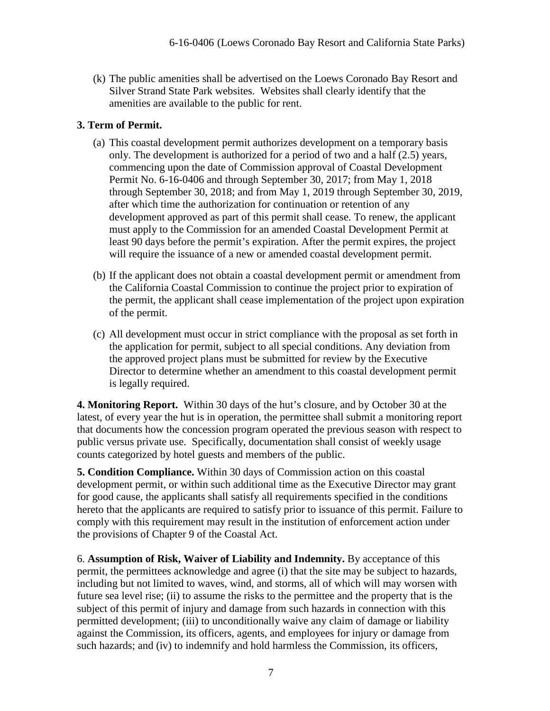(k) The public amenities shall be advertised on the Loews Coronado Bay Resort and Silver Strand State Park websites. Websites shall clearly identify that the amenities are available to the public for rent.

#### **3. Term of Permit.**

- (a) This coastal development permit authorizes development on a temporary basis only. The development is authorized for a period of two and a half (2.5) years, commencing upon the date of Commission approval of Coastal Development Permit No. 6-16-0406 and through September 30, 2017; from May 1, 2018 through September 30, 2018; and from May 1, 2019 through September 30, 2019, after which time the authorization for continuation or retention of any development approved as part of this permit shall cease. To renew, the applicant must apply to the Commission for an amended Coastal Development Permit at least 90 days before the permit's expiration. After the permit expires, the project will require the issuance of a new or amended coastal development permit.
- (b) If the applicant does not obtain a coastal development permit or amendment from the California Coastal Commission to continue the project prior to expiration of the permit, the applicant shall cease implementation of the project upon expiration of the permit.
- (c) All development must occur in strict compliance with the proposal as set forth in the application for permit, subject to all special conditions. Any deviation from the approved project plans must be submitted for review by the Executive Director to determine whether an amendment to this coastal development permit is legally required.

**4. Monitoring Report.** Within 30 days of the hut's closure, and by October 30 at the latest, of every year the hut is in operation, the permittee shall submit a monitoring report that documents how the concession program operated the previous season with respect to public versus private use. Specifically, documentation shall consist of weekly usage counts categorized by hotel guests and members of the public.

**5. Condition Compliance.** Within 30 days of Commission action on this coastal development permit, or within such additional time as the Executive Director may grant for good cause, the applicants shall satisfy all requirements specified in the conditions hereto that the applicants are required to satisfy prior to issuance of this permit. Failure to comply with this requirement may result in the institution of enforcement action under the provisions of Chapter 9 of the Coastal Act.

6. **Assumption of Risk, Waiver of Liability and Indemnity.** By acceptance of this permit, the permittees acknowledge and agree (i) that the site may be subject to hazards, including but not limited to waves, wind, and storms, all of which will may worsen with future sea level rise; (ii) to assume the risks to the permittee and the property that is the subject of this permit of injury and damage from such hazards in connection with this permitted development; (iii) to unconditionally waive any claim of damage or liability against the Commission, its officers, agents, and employees for injury or damage from such hazards; and (iv) to indemnify and hold harmless the Commission, its officers,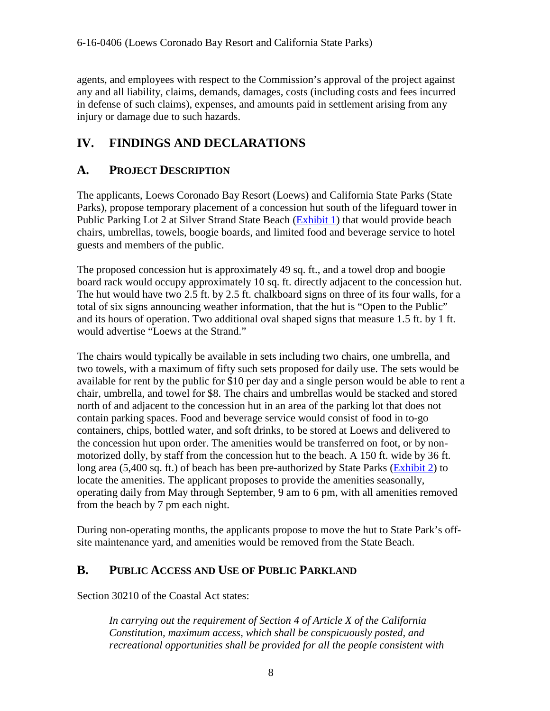6-16-0406 (Loews Coronado Bay Resort and California State Parks)

agents, and employees with respect to the Commission's approval of the project against any and all liability, claims, demands, damages, costs (including costs and fees incurred in defense of such claims), expenses, and amounts paid in settlement arising from any injury or damage due to such hazards.

## <span id="page-7-0"></span>**IV. FINDINGS AND DECLARATIONS**

## <span id="page-7-1"></span>**A. PROJECT DESCRIPTION**

The applicants, Loews Coronado Bay Resort (Loews) and California State Parks (State Parks), propose temporary placement of a concession hut south of the lifeguard tower in Public Parking Lot 2 at Silver Strand State Beach [\(Exhibit 1\)](https://documents.coastal.ca.gov/reports/2017/7/Th19a/Th19a-7-2017-exhibits.pdf) that would provide beach chairs, umbrellas, towels, boogie boards, and limited food and beverage service to hotel guests and members of the public.

The proposed concession hut is approximately 49 sq. ft., and a towel drop and boogie board rack would occupy approximately 10 sq. ft. directly adjacent to the concession hut. The hut would have two 2.5 ft. by 2.5 ft. chalkboard signs on three of its four walls, for a total of six signs announcing weather information, that the hut is "Open to the Public" and its hours of operation. Two additional oval shaped signs that measure 1.5 ft. by 1 ft. would advertise "Loews at the Strand."

The chairs would typically be available in sets including two chairs, one umbrella, and two towels, with a maximum of fifty such sets proposed for daily use. The sets would be available for rent by the public for \$10 per day and a single person would be able to rent a chair, umbrella, and towel for \$8. The chairs and umbrellas would be stacked and stored north of and adjacent to the concession hut in an area of the parking lot that does not contain parking spaces. Food and beverage service would consist of food in to-go containers, chips, bottled water, and soft drinks, to be stored at Loews and delivered to the concession hut upon order. The amenities would be transferred on foot, or by nonmotorized dolly, by staff from the concession hut to the beach. A 150 ft. wide by 36 ft. long area  $(5,400 \text{ sq. ft.})$  of beach has been pre-authorized by State Parks ( $\frac{\text{Exhibit 2}}{\text{2}}$ ) to locate the amenities. The applicant proposes to provide the amenities seasonally, operating daily from May through September, 9 am to 6 pm, with all amenities removed from the beach by 7 pm each night.

During non-operating months, the applicants propose to move the hut to State Park's offsite maintenance yard, and amenities would be removed from the State Beach.

#### <span id="page-7-2"></span>**B. PUBLIC ACCESS AND USE OF PUBLIC PARKLAND**

Section 30210 of the Coastal Act states:

*In carrying out the requirement of Section 4 of Article X of the California Constitution, maximum access, which shall be conspicuously posted, and recreational opportunities shall be provided for all the people consistent with*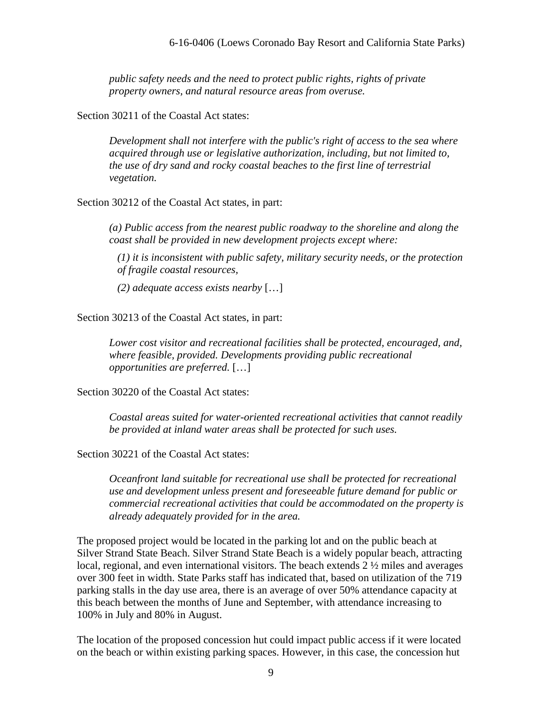*public safety needs and the need to protect public rights, rights of private property owners, and natural resource areas from overuse.*

Section 30211 of the Coastal Act states:

*Development shall not interfere with the public's right of access to the sea where acquired through use or legislative authorization, including, but not limited to, the use of dry sand and rocky coastal beaches to the first line of terrestrial vegetation.* 

Section 30212 of the Coastal Act states, in part:

*(a) Public access from the nearest public roadway to the shoreline and along the coast shall be provided in new development projects except where:* 

*(1) it is inconsistent with public safety, military security needs, or the protection of fragile coastal resources,* 

*(2) adequate access exists nearby* […]

Section 30213 of the Coastal Act states, in part:

*Lower cost visitor and recreational facilities shall be protected, encouraged, and, where feasible, provided. Developments providing public recreational opportunities are preferred.* […]

Section 30220 of the Coastal Act states:

*Coastal areas suited for water-oriented recreational activities that cannot readily be provided at inland water areas shall be protected for such uses.* 

Section 30221 of the Coastal Act states:

*Oceanfront land suitable for recreational use shall be protected for recreational use and development unless present and foreseeable future demand for public or commercial recreational activities that could be accommodated on the property is already adequately provided for in the area.* 

The proposed project would be located in the parking lot and on the public beach at Silver Strand State Beach. Silver Strand State Beach is a widely popular beach, attracting local, regional, and even international visitors. The beach extends 2 ½ miles and averages over 300 feet in width. State Parks staff has indicated that, based on utilization of the 719 parking stalls in the day use area, there is an average of over 50% attendance capacity at this beach between the months of June and September, with attendance increasing to 100% in July and 80% in August.

The location of the proposed concession hut could impact public access if it were located on the beach or within existing parking spaces. However, in this case, the concession hut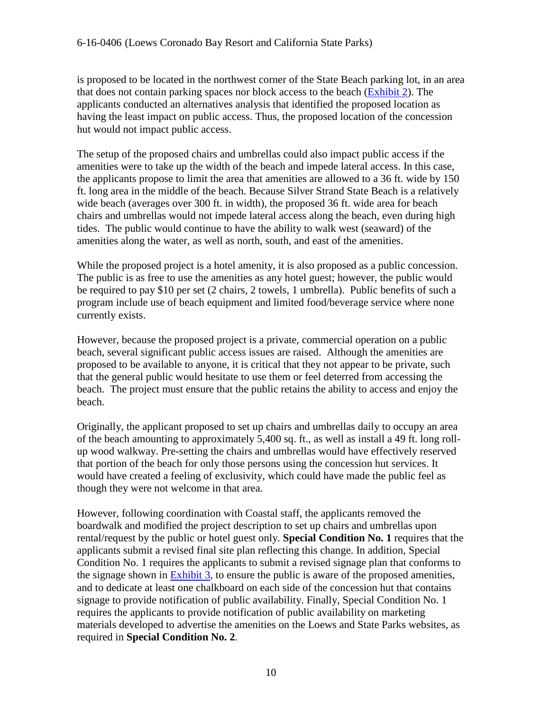#### 6-16-0406 (Loews Coronado Bay Resort and California State Parks)

is proposed to be located in the northwest corner of the State Beach parking lot, in an area that does not contain parking spaces nor block access to the beach [\(Exhibit 2\)](https://documents.coastal.ca.gov/reports/2017/7/Th19a/Th19a-7-2017-exhibits.pdf). The applicants conducted an alternatives analysis that identified the proposed location as having the least impact on public access. Thus, the proposed location of the concession hut would not impact public access.

The setup of the proposed chairs and umbrellas could also impact public access if the amenities were to take up the width of the beach and impede lateral access. In this case, the applicants propose to limit the area that amenities are allowed to a 36 ft. wide by 150 ft. long area in the middle of the beach. Because Silver Strand State Beach is a relatively wide beach (averages over 300 ft. in width), the proposed 36 ft. wide area for beach chairs and umbrellas would not impede lateral access along the beach, even during high tides. The public would continue to have the ability to walk west (seaward) of the amenities along the water, as well as north, south, and east of the amenities.

While the proposed project is a hotel amenity, it is also proposed as a public concession. The public is as free to use the amenities as any hotel guest; however, the public would be required to pay \$10 per set (2 chairs, 2 towels, 1 umbrella). Public benefits of such a program include use of beach equipment and limited food/beverage service where none currently exists.

However, because the proposed project is a private, commercial operation on a public beach, several significant public access issues are raised. Although the amenities are proposed to be available to anyone, it is critical that they not appear to be private, such that the general public would hesitate to use them or feel deterred from accessing the beach. The project must ensure that the public retains the ability to access and enjoy the beach.

Originally, the applicant proposed to set up chairs and umbrellas daily to occupy an area of the beach amounting to approximately 5,400 sq. ft., as well as install a 49 ft. long rollup wood walkway. Pre-setting the chairs and umbrellas would have effectively reserved that portion of the beach for only those persons using the concession hut services. It would have created a feeling of exclusivity, which could have made the public feel as though they were not welcome in that area.

However, following coordination with Coastal staff, the applicants removed the boardwalk and modified the project description to set up chairs and umbrellas upon rental/request by the public or hotel guest only. **Special Condition No. 1** requires that the applicants submit a revised final site plan reflecting this change. In addition, Special Condition No. 1 requires the applicants to submit a revised signage plan that conforms to the signage shown in [Exhibit 3,](https://documents.coastal.ca.gov/reports/2017/7/Th19a/Th19a-7-2017-exhibits.pdf) to ensure the public is aware of the proposed amenities, and to dedicate at least one chalkboard on each side of the concession hut that contains signage to provide notification of public availability. Finally, Special Condition No. 1 requires the applicants to provide notification of public availability on marketing materials developed to advertise the amenities on the Loews and State Parks websites, as required in **Special Condition No. 2**.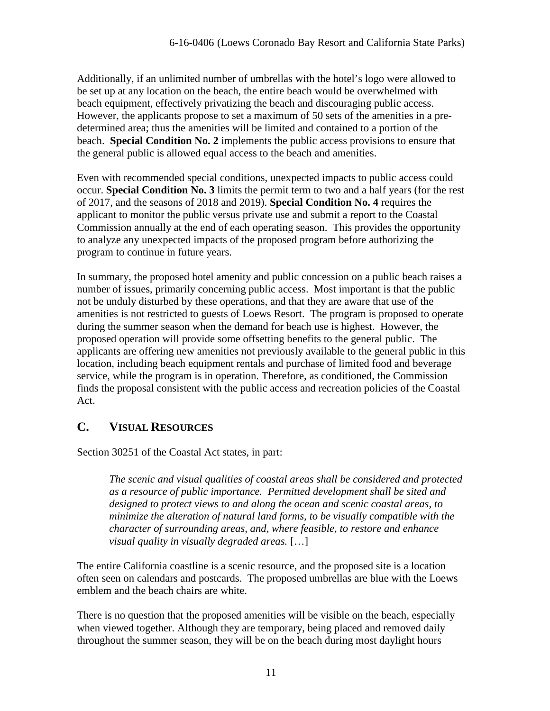Additionally, if an unlimited number of umbrellas with the hotel's logo were allowed to be set up at any location on the beach, the entire beach would be overwhelmed with beach equipment, effectively privatizing the beach and discouraging public access. However, the applicants propose to set a maximum of 50 sets of the amenities in a predetermined area; thus the amenities will be limited and contained to a portion of the beach. **Special Condition No. 2** implements the public access provisions to ensure that the general public is allowed equal access to the beach and amenities.

Even with recommended special conditions, unexpected impacts to public access could occur. **Special Condition No. 3** limits the permit term to two and a half years (for the rest of 2017, and the seasons of 2018 and 2019). **Special Condition No. 4** requires the applicant to monitor the public versus private use and submit a report to the Coastal Commission annually at the end of each operating season. This provides the opportunity to analyze any unexpected impacts of the proposed program before authorizing the program to continue in future years.

In summary, the proposed hotel amenity and public concession on a public beach raises a number of issues, primarily concerning public access. Most important is that the public not be unduly disturbed by these operations, and that they are aware that use of the amenities is not restricted to guests of Loews Resort. The program is proposed to operate during the summer season when the demand for beach use is highest. However, the proposed operation will provide some offsetting benefits to the general public. The applicants are offering new amenities not previously available to the general public in this location, including beach equipment rentals and purchase of limited food and beverage service, while the program is in operation. Therefore, as conditioned, the Commission finds the proposal consistent with the public access and recreation policies of the Coastal Act.

## <span id="page-10-0"></span>**C. VISUAL RESOURCES**

Section 30251 of the Coastal Act states, in part:

*The scenic and visual qualities of coastal areas shall be considered and protected as a resource of public importance. Permitted development shall be sited and designed to protect views to and along the ocean and scenic coastal areas, to minimize the alteration of natural land forms, to be visually compatible with the character of surrounding areas, and, where feasible, to restore and enhance visual quality in visually degraded areas.* […]

The entire California coastline is a scenic resource, and the proposed site is a location often seen on calendars and postcards. The proposed umbrellas are blue with the Loews emblem and the beach chairs are white.

There is no question that the proposed amenities will be visible on the beach, especially when viewed together. Although they are temporary, being placed and removed daily throughout the summer season, they will be on the beach during most daylight hours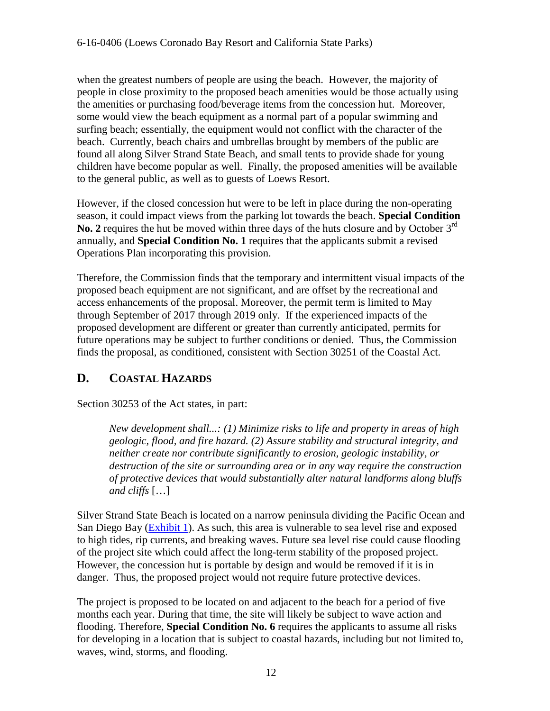when the greatest numbers of people are using the beach. However, the majority of people in close proximity to the proposed beach amenities would be those actually using the amenities or purchasing food/beverage items from the concession hut. Moreover, some would view the beach equipment as a normal part of a popular swimming and surfing beach; essentially, the equipment would not conflict with the character of the beach. Currently, beach chairs and umbrellas brought by members of the public are found all along Silver Strand State Beach, and small tents to provide shade for young children have become popular as well. Finally, the proposed amenities will be available to the general public, as well as to guests of Loews Resort.

However, if the closed concession hut were to be left in place during the non-operating season, it could impact views from the parking lot towards the beach. **Special Condition**  No. 2 requires the hut be moved within three days of the huts closure and by October 3<sup>rd</sup> annually, and **Special Condition No. 1** requires that the applicants submit a revised Operations Plan incorporating this provision.

Therefore, the Commission finds that the temporary and intermittent visual impacts of the proposed beach equipment are not significant, and are offset by the recreational and access enhancements of the proposal. Moreover, the permit term is limited to May through September of 2017 through 2019 only. If the experienced impacts of the proposed development are different or greater than currently anticipated, permits for future operations may be subject to further conditions or denied. Thus, the Commission finds the proposal, as conditioned, consistent with Section 30251 of the Coastal Act.

## <span id="page-11-0"></span>**D. COASTAL HAZARDS**

Section 30253 of the Act states, in part:

*New development shall...: (1) Minimize risks to life and property in areas of high geologic, flood, and fire hazard. (2) Assure stability and structural integrity, and neither create nor contribute significantly to erosion, geologic instability, or destruction of the site or surrounding area or in any way require the construction of protective devices that would substantially alter natural landforms along bluffs and cliffs* […]

Silver Strand State Beach is located on a narrow peninsula dividing the Pacific Ocean and San Diego Bay [\(Exhibit 1\)](https://documents.coastal.ca.gov/reports/2017/7/Th19a/Th19a-7-2017-exhibits.pdf). As such, this area is vulnerable to sea level rise and exposed to high tides, rip currents, and breaking waves. Future sea level rise could cause flooding of the project site which could affect the long-term stability of the proposed project. However, the concession hut is portable by design and would be removed if it is in danger. Thus, the proposed project would not require future protective devices.

The project is proposed to be located on and adjacent to the beach for a period of five months each year. During that time, the site will likely be subject to wave action and flooding. Therefore, **Special Condition No. 6** requires the applicants to assume all risks for developing in a location that is subject to coastal hazards, including but not limited to, waves, wind, storms, and flooding.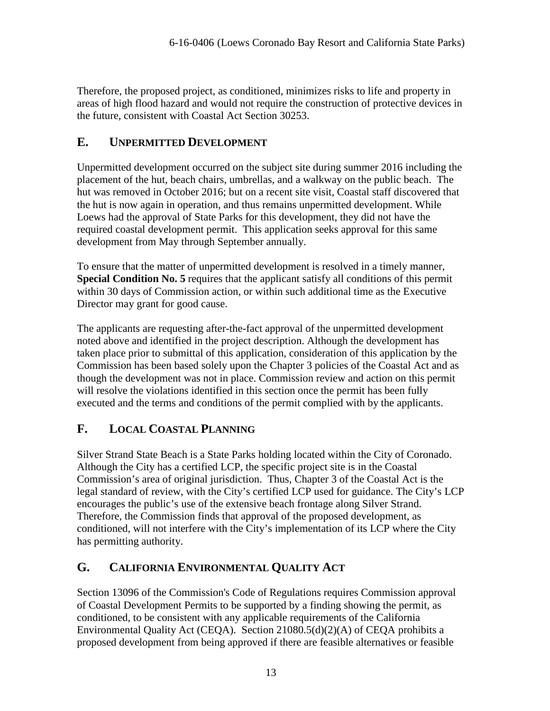Therefore, the proposed project, as conditioned, minimizes risks to life and property in areas of high flood hazard and would not require the construction of protective devices in the future, consistent with Coastal Act Section 30253.

## <span id="page-12-0"></span>**E. UNPERMITTED DEVELOPMENT**

Unpermitted development occurred on the subject site during summer 2016 including the placement of the hut, beach chairs, umbrellas, and a walkway on the public beach. The hut was removed in October 2016; but on a recent site visit, Coastal staff discovered that the hut is now again in operation, and thus remains unpermitted development. While Loews had the approval of State Parks for this development, they did not have the required coastal development permit. This application seeks approval for this same development from May through September annually.

To ensure that the matter of unpermitted development is resolved in a timely manner, **Special Condition No. 5** requires that the applicant satisfy all conditions of this permit within 30 days of Commission action, or within such additional time as the Executive Director may grant for good cause.

The applicants are requesting after-the-fact approval of the unpermitted development noted above and identified in the project description. Although the development has taken place prior to submittal of this application, consideration of this application by the Commission has been based solely upon the Chapter 3 policies of the Coastal Act and as though the development was not in place. Commission review and action on this permit will resolve the violations identified in this section once the permit has been fully executed and the terms and conditions of the permit complied with by the applicants.

## <span id="page-12-1"></span>**F. LOCAL COASTAL PLANNING**

Silver Strand State Beach is a State Parks holding located within the City of Coronado. Although the City has a certified LCP, the specific project site is in the Coastal Commission's area of original jurisdiction. Thus, Chapter 3 of the Coastal Act is the legal standard of review, with the City's certified LCP used for guidance. The City's LCP encourages the public's use of the extensive beach frontage along Silver Strand. Therefore, the Commission finds that approval of the proposed development, as conditioned, will not interfere with the City's implementation of its LCP where the City has permitting authority.

## <span id="page-12-2"></span>**G. CALIFORNIA ENVIRONMENTAL QUALITY ACT**

Section 13096 of the Commission's Code of Regulations requires Commission approval of Coastal Development Permits to be supported by a finding showing the permit, as conditioned, to be consistent with any applicable requirements of the California Environmental Quality Act (CEQA). Section 21080.5(d)(2)(A) of CEQA prohibits a proposed development from being approved if there are feasible alternatives or feasible